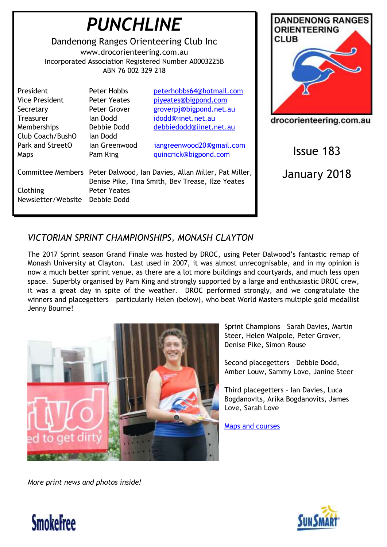| <b>PUNCHLINE</b><br>Dandenong Ranges Orienteering Club Inc<br>www.drocorienteering.com.au<br>Incorporated Association Registered Number A0003225B<br>ABN 76 002 329 218 |                                                                                                                                                   |                                                                                                                              | <b>DANDENONG RANGES</b><br><b>ORIENTEERING</b><br><b>CLUB</b> |
|-------------------------------------------------------------------------------------------------------------------------------------------------------------------------|---------------------------------------------------------------------------------------------------------------------------------------------------|------------------------------------------------------------------------------------------------------------------------------|---------------------------------------------------------------|
| President<br><b>Vice President</b><br>Secretary<br><b>Treasurer</b><br>Memberships<br>Club Coach/BushO                                                                  | Peter Hobbs<br><b>Peter Yeates</b><br>Peter Grover<br>lan Dodd<br>Debbie Dodd<br>lan Dodd                                                         | peterhobbs64@hotmail.com<br>piyeates@bigpond.com<br>groverpj@bigpond.net.au<br>idodd@iinet.net.au<br>debbiedodd@iinet.net.au | drocorienteering.com.au                                       |
| Park and StreetO<br>Maps                                                                                                                                                | Ian Greenwood<br>Pam King                                                                                                                         | iangreenwood20@gmail.com<br>quincrick@bigpond.com                                                                            | <b>Issue 183</b>                                              |
| Clothing<br>Newsletter/Website Debbie Dodd                                                                                                                              | Committee Members Peter Dalwood, Ian Davies, Allan Miller, Pat Miller,<br>Denise Pike, Tina Smith, Bev Trease, Ilze Yeates<br><b>Peter Yeates</b> |                                                                                                                              | January 2018                                                  |

# *VICTORIAN SPRINT CHAMPIONSHIPS, MONASH CLAYTON*

The 2017 Sprint season Grand Finale was hosted by DROC, using Peter Dalwood's fantastic remap of Monash University at Clayton. Last used in 2007, it was almost unrecognisable, and in my opinion is now a much better sprint venue, as there are a lot more buildings and courtyards, and much less open space. Superbly organised by Pam King and strongly supported by a large and enthusiastic DROC crew, it was a great day in spite of the weather. DROC performed strongly, and we congratulate the winners and placegetters – particularly Helen (below), who beat World Masters multiple gold medallist Jenny Bourne!



Sprint Champions – Sarah Davies, Martin Steer, Helen Walpole, Peter Grover, Denise Pike, Simon Rouse

Second placegetters – Debbie Dodd, Amber Louw, Sammy Love, Janine Steer

Third placegetters – Ian Davies, Luca Bogdanovits, Arika Bogdanovits, James Love, Sarah Love

[Maps and courses](http://www.vicorienteering.asn.au/gfolder/Vic%20Sprint%20Champs%202017.PDF)

*More print news and photos inside!*



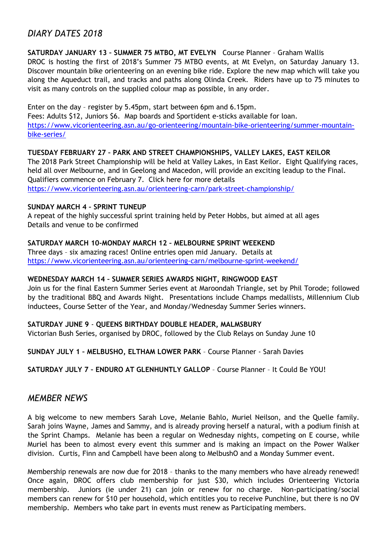## *DIARY DATES 2018*

### **SATURDAY JANUARY 13 – SUMMER 75 MTBO, MT EVELYN** Course Planner – Graham Wallis

DROC is hosting the first of 2018's Summer 75 MTBO events, at Mt Evelyn, on Saturday January 13. Discover mountain bike orienteering on an evening bike ride. Explore the new map which will take you along the Aqueduct trail, and tracks and paths along Olinda Creek. Riders have up to 75 minutes to visit as many controls on the supplied colour map as possible, in any order.

Enter on the day – register by 5.45pm, start between 6pm and 6.15pm.

Fees: Adults \$12, Juniors \$6. Map boards and Sportident e-sticks available for loan. [https://www.vicorienteering.asn.au/go-orienteering/mountain-bike-orienteering/summer-mountain](https://www.vicorienteering.asn.au/go-orienteering/mountain-bike-orienteering/summer-mountain-bike-series/)[bike-series/](https://www.vicorienteering.asn.au/go-orienteering/mountain-bike-orienteering/summer-mountain-bike-series/)

### **TUESDAY FEBRUARY 27 – PARK AND STREET CHAMPIONSHIPS, VALLEY LAKES, EAST KEILOR**

The 2018 Park Street Championship will be held at Valley Lakes, in East Keilor. Eight Qualifying races, held all over Melbourne, and in Geelong and Macedon, will provide an exciting leadup to the Final. Qualifiers commence on February 7. Click here for more details <https://www.vicorienteering.asn.au/orienteering-carn/park-street-championship/>

### **SUNDAY MARCH 4 – SPRINT TUNEUP**

A repeat of the highly successful sprint training held by Peter Hobbs, but aimed at all ages Details and venue to be confirmed

### **SATURDAY MARCH 10-MONDAY MARCH 12 – MELBOURNE SPRINT WEEKEND**

Three days – six amazing races! Online entries open mid January. Details at <https://www.vicorienteering.asn.au/orienteering-carn/melbourne-sprint-weekend/>

#### **WEDNESDAY MARCH 14 – SUMMER SERIES AWARDS NIGHT, RINGWOOD EAST**

Join us for the final Eastern Summer Series event at Maroondah Triangle, set by Phil Torode; followed by the traditional BBQ and Awards Night. Presentations include Champs medallists, Millennium Club inductees, Course Setter of the Year, and Monday/Wednesday Summer Series winners.

#### **SATURDAY JUNE 9** - **QUEENS BIRTHDAY DOUBLE HEADER, MALMSBURY**

Victorian Bush Series, organised by DROC, followed by the Club Relays on Sunday June 10

**SUNDAY JULY 1 – MELBUSHO, ELTHAM LOWER PARK** – Course Planner - Sarah Davies

**SATURDAY JULY 7 – ENDURO AT GLENHUNTLY GALLOP** – Course Planner – It Could Be YOU!

### *MEMBER NEWS*

A big welcome to new members Sarah Love, Melanie Bahlo, Muriel Neilson, and the Quelle family. Sarah joins Wayne, James and Sammy, and is already proving herself a natural, with a podium finish at the Sprint Champs. Melanie has been a regular on Wednesday nights, competing on E course, while Muriel has been to almost every event this summer and is making an impact on the Power Walker division. Curtis, Finn and Campbell have been along to MelbushO and a Monday Summer event.

Membership renewals are now due for 2018 – thanks to the many members who have already renewed! Once again, DROC offers club membership for just \$30, which includes Orienteering Victoria membership. Juniors (ie under 21) can join or renew for no charge. Non-participating/social members can renew for \$10 per household, which entitles you to receive Punchline, but there is no OV membership. Members who take part in events must renew as Participating members.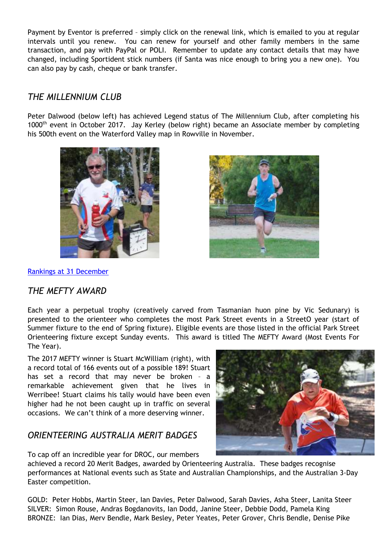Payment by Eventor is preferred – simply click on the renewal link, which is emailed to you at regular intervals until you renew. You can renew for yourself and other family members in the same transaction, and pay with PayPal or POLI. Remember to update any contact details that may have changed, including Sportident stick numbers (if Santa was nice enough to bring you a new one). You can also pay by cash, cheque or bank transfer.

# *THE MILLENNIUM CLUB*

Peter Dalwood (below left) has achieved Legend status of The Millennium Club, after completing his 1000<sup>th</sup> event in October 2017. Jay Kerley (below right) became an Associate member by completing his 500th event on the Waterford Valley map in Rowville in November.





[Rankings at 31 December](https://www.vicorienteering.asn.au/gfolder/parkstreet/millennium/TMC.htm)

# *THE MEFTY AWARD*

Each year a perpetual trophy (creatively carved from Tasmanian huon pine by Vic Sedunary) is presented to the orienteer who completes the most Park Street events in a StreetO year (start of Summer fixture to the end of Spring fixture). Eligible events are those listed in the official Park Street Orienteering fixture except Sunday events. This award is titled The MEFTY Award (Most Events For The Year).

The 2017 MEFTY winner is Stuart McWilliam (right), with a record total of 166 events out of a possible 189! Stuart has set a record that may never be broken – a remarkable achievement given that he lives in Werribee! Stuart claims his tally would have been even higher had he not been caught up in traffic on several occasions. We can't think of a more deserving winner.

# *ORIENTEERING AUSTRALIA MERIT BADGES*

To cap off an incredible year for DROC, our members

achieved a record 20 Merit Badges, awarded by Orienteering Australia. These badges recognise performances at National events such as State and Australian Championships, and the Australian 3-Day Easter competition.

GOLD: Peter Hobbs, Martin Steer, Ian Davies, Peter Dalwood, Sarah Davies, Asha Steer, Lanita Steer SILVER: Simon Rouse, Andras Bogdanovits, Ian Dodd, Janine Steer, Debbie Dodd, Pamela King BRONZE: Ian Dias, Merv Bendle, Mark Besley, Peter Yeates, Peter Grover, Chris Bendle, Denise Pike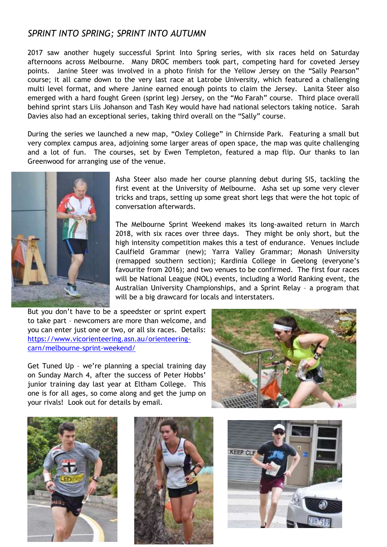## *SPRINT INTO SPRING; SPRINT INTO AUTUMN*

2017 saw another hugely successful Sprint Into Spring series, with six races held on Saturday afternoons across Melbourne. Many DROC members took part, competing hard for coveted Jersey points. Janine Steer was involved in a photo finish for the Yellow Jersey on the "Sally Pearson" course; it all came down to the very last race at Latrobe University, which featured a challenging multi level format, and where Janine earned enough points to claim the Jersey. Lanita Steer also emerged with a hard fought Green (sprint leg) Jersey, on the "Mo Farah" course. Third place overall behind sprint stars Liis Johanson and Tash Key would have had national selectors taking notice. Sarah Davies also had an exceptional series, taking third overall on the "Sally" course.

During the series we launched a new map, "Oxley College" in Chirnside Park. Featuring a small but very complex campus area, adjoining some larger areas of open space, the map was quite challenging and a lot of fun. The courses, set by Ewen Templeton, featured a map flip. Our thanks to Ian Greenwood for arranging use of the venue.



Asha Steer also made her course planning debut during SIS, tackling the first event at the University of Melbourne. Asha set up some very clever tricks and traps, setting up some great short legs that were the hot topic of conversation afterwards.

The Melbourne Sprint Weekend makes its long-awaited return in March 2018, with six races over three days. They might be only short, but the high intensity competition makes this a test of endurance. Venues include Caulfield Grammar (new); Yarra Valley Grammar; Monash University (remapped southern section); Kardinia College in Geelong (everyone's favourite from 2016); and two venues to be confirmed. The first four races will be National League (NOL) events, including a World Ranking event, the Australian University Championships, and a Sprint Relay – a program that will be a big drawcard for locals and interstaters.

But you don't have to be a speedster or sprint expert to take part – newcomers are more than welcome, and you can enter just one or two, or all six races. Details: [https://www.vicorienteering.asn.au/orienteering](https://www.vicorienteering.asn.au/orienteering-carn/melbourne-sprint-weekend/)[carn/melbourne-sprint-weekend/](https://www.vicorienteering.asn.au/orienteering-carn/melbourne-sprint-weekend/)

Get Tuned Up – we're planning a special training day on Sunday March 4, after the success of Peter Hobbs' junior training day last year at Eltham College. This one is for all ages, so come along and get the jump on your rivals! Look out for details by email.







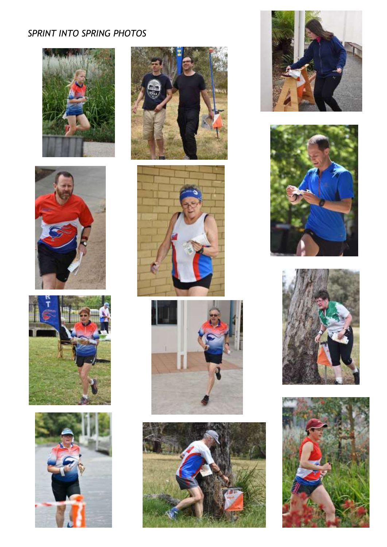# *SPRINT INTO SPRING PHOTOS*























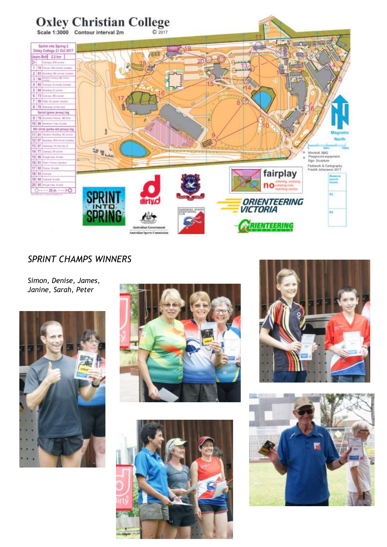

# *SPRINT CHAMPS WINNERS*

*Simon, Denise, James, Janine, Sarah, Peter*









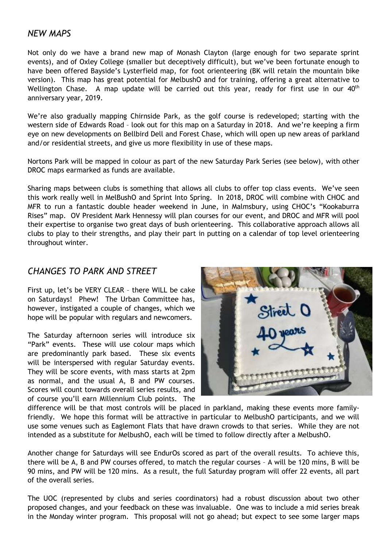### *NEW MAPS*

Not only do we have a brand new map of Monash Clayton (large enough for two separate sprint events), and of Oxley College (smaller but deceptively difficult), but we've been fortunate enough to have been offered Bayside's Lysterfield map, for foot orienteering (BK will retain the mountain bike version). This map has great potential for MelbushO and for training, offering a great alternative to Wellington Chase. A map update will be carried out this year, ready for first use in our  $40<sup>th</sup>$ anniversary year, 2019.

We're also gradually mapping Chirnside Park, as the golf course is redeveloped; starting with the western side of Edwards Road – look out for this map on a Saturday in 2018. And we're keeping a firm eye on new developments on Bellbird Dell and Forest Chase, which will open up new areas of parkland and/or residential streets, and give us more flexibility in use of these maps.

Nortons Park will be mapped in colour as part of the new Saturday Park Series (see below), with other DROC maps earmarked as funds are available.

Sharing maps between clubs is something that allows all clubs to offer top class events. We've seen this work really well in MelBushO and Sprint Into Spring. In 2018, DROC will combine with CHOC and MFR to run a fantastic double header weekend in June, in Malmsbury, using CHOC's "Kookaburra Rises" map. OV President Mark Hennessy will plan courses for our event, and DROC and MFR will pool their expertise to organise two great days of bush orienteering. This collaborative approach allows all clubs to play to their strengths, and play their part in putting on a calendar of top level orienteering throughout winter.

## *CHANGES TO PARK AND STREET*

First up, let's be VERY CLEAR – there WILL be cake on Saturdays! Phew! The Urban Committee has, however, instigated a couple of changes, which we hope will be popular with regulars and newcomers.

The Saturday afternoon series will introduce six "Park" events. These will use colour maps which are predominantly park based. These six events will be interspersed with regular Saturday events. They will be score events, with mass starts at 2pm as normal, and the usual A, B and PW courses. Scores will count towards overall series results, and of course you'll earn Millennium Club points. The



difference will be that most controls will be placed in parkland, making these events more familyfriendly. We hope this format will be attractive in particular to MelbushO participants, and we will use some venues such as Eaglemont Flats that have drawn crowds to that series. While they are not intended as a substitute for MelbushO, each will be timed to follow directly after a MelbushO.

Another change for Saturdays will see EndurOs scored as part of the overall results. To achieve this, there will be A, B and PW courses offered, to match the regular courses – A will be 120 mins, B will be 90 mins, and PW will be 120 mins. As a result, the full Saturday program will offer 22 events, all part of the overall series.

The UOC (represented by clubs and series coordinators) had a robust discussion about two other proposed changes, and your feedback on these was invaluable. One was to include a mid series break in the Monday winter program. This proposal will not go ahead; but expect to see some larger maps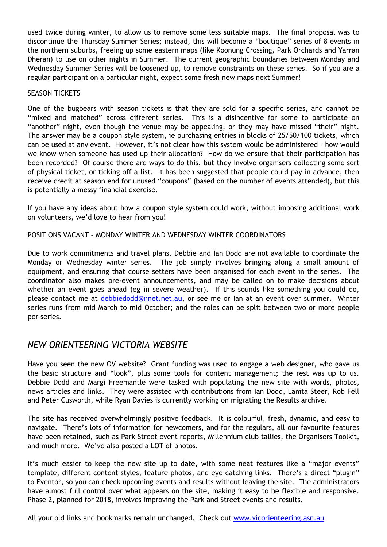used twice during winter, to allow us to remove some less suitable maps. The final proposal was to discontinue the Thursday Summer Series; instead, this will become a "boutique" series of 8 events in the northern suburbs, freeing up some eastern maps (like Koonung Crossing, Park Orchards and Yarran Dheran) to use on other nights in Summer. The current geographic boundaries between Monday and Wednesday Summer Series will be loosened up, to remove constraints on these series. So if you are a regular participant on a particular night, expect some fresh new maps next Summer!

#### SEASON TICKETS

One of the bugbears with season tickets is that they are sold for a specific series, and cannot be "mixed and matched" across different series. This is a disincentive for some to participate on "another" night, even though the venue may be appealing, or they may have missed "their" night. The answer may be a coupon style system, ie purchasing entries in blocks of 25/50/100 tickets, which can be used at any event. However, it's not clear how this system would be administered – how would we know when someone has used up their allocation? How do we ensure that their participation has been recorded? Of course there are ways to do this, but they involve organisers collecting some sort of physical ticket, or ticking off a list. It has been suggested that people could pay in advance, then receive credit at season end for unused "coupons" (based on the number of events attended), but this is potentially a messy financial exercise.

If you have any ideas about how a coupon style system could work, without imposing additional work on volunteers, we'd love to hear from you!

### POSITIONS VACANT – MONDAY WINTER AND WEDNESDAY WINTER COORDINATORS

Due to work commitments and travel plans, Debbie and Ian Dodd are not available to coordinate the Monday or Wednesday winter series. The job simply involves bringing along a small amount of equipment, and ensuring that course setters have been organised for each event in the series. The coordinator also makes pre-event announcements, and may be called on to make decisions about whether an event goes ahead (eg in severe weather). If this sounds like something you could do, please contact me at [debbiedodd@iinet.net.au,](mailto:debbiedodd@iinet.net.au) or see me or Ian at an event over summer. Winter series runs from mid March to mid October; and the roles can be split between two or more people per series.

## *NEW ORIENTEERING VICTORIA WEBSITE*

Have you seen the new OV website? Grant funding was used to engage a web designer, who gave us the basic structure and "look", plus some tools for content management; the rest was up to us. Debbie Dodd and Margi Freemantle were tasked with populating the new site with words, photos, news articles and links. They were assisted with contributions from Ian Dodd, Lanita Steer, Rob Fell and Peter Cusworth, while Ryan Davies is currently working on migrating the Results archive.

The site has received overwhelmingly positive feedback. It is colourful, fresh, dynamic, and easy to navigate. There's lots of information for newcomers, and for the regulars, all our favourite features have been retained, such as Park Street event reports, Millennium club tallies, the Organisers Toolkit, and much more. We've also posted a LOT of photos.

It's much easier to keep the new site up to date, with some neat features like a "major events" template, different content styles, feature photos, and eye catching links. There's a direct "plugin" to Eventor, so you can check upcoming events and results without leaving the site. The administrators have almost full control over what appears on the site, making it easy to be flexible and responsive. Phase 2, planned for 2018, involves improving the Park and Street events and results.

All your old links and bookmarks remain unchanged. Check out [www.vicorienteering.asn.au](http://www.vicorienteering.asn.au/)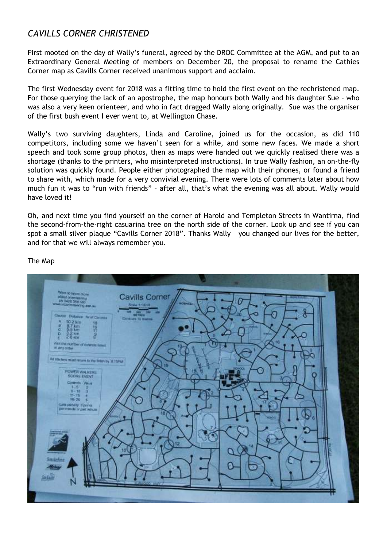# *CAVILLS CORNER CHRISTENED*

First mooted on the day of Wally's funeral, agreed by the DROC Committee at the AGM, and put to an Extraordinary General Meeting of members on December 20, the proposal to rename the Cathies Corner map as Cavills Corner received unanimous support and acclaim.

The first Wednesday event for 2018 was a fitting time to hold the first event on the rechristened map. For those querying the lack of an apostrophe, the map honours both Wally and his daughter Sue – who was also a very keen orienteer, and who in fact dragged Wally along originally. Sue was the organiser of the first bush event I ever went to, at Wellington Chase.

Wally's two surviving daughters, Linda and Caroline, joined us for the occasion, as did 110 competitors, including some we haven't seen for a while, and some new faces. We made a short speech and took some group photos, then as maps were handed out we quickly realised there was a shortage (thanks to the printers, who misinterpreted instructions). In true Wally fashion, an on-the-fly solution was quickly found. People either photographed the map with their phones, or found a friend to share with, which made for a very convivial evening. There were lots of comments later about how much fun it was to "run with friends" – after all, that's what the evening was all about. Wally would have loved it!

Oh, and next time you find yourself on the corner of Harold and Templeton Streets in Wantirna, find the second-from-the-right casuarina tree on the north side of the corner. Look up and see if you can spot a small silver plaque "Cavills Corner 2018". Thanks Wally – you changed our lives for the better, and for that we will always remember you.



The Map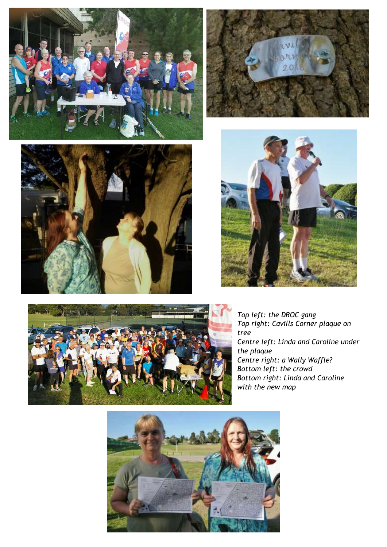











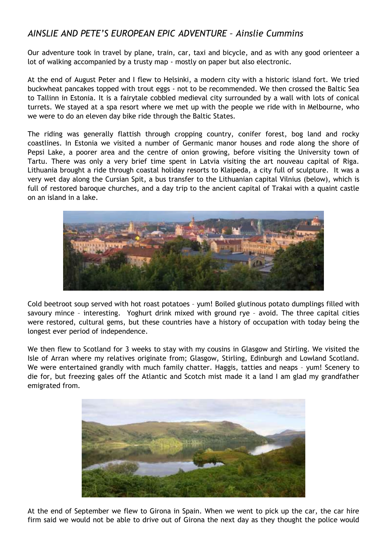# *AINSLIE AND PETE'S EUROPEAN EPIC ADVENTURE – Ainslie Cummins*

Our adventure took in travel by plane, train, car, taxi and bicycle, and as with any good orienteer a lot of walking accompanied by a trusty map - mostly on paper but also electronic.

At the end of August Peter and I flew to Helsinki, a modern city with a historic island fort. We tried buckwheat pancakes topped with trout eggs - not to be recommended. We then crossed the Baltic Sea to Tallinn in Estonia. It is a fairytale cobbled medieval city surrounded by a wall with lots of conical turrets. We stayed at a spa resort where we met up with the people we ride with in Melbourne, who we were to do an eleven day bike ride through the Baltic States.

The riding was generally flattish through cropping country, conifer forest, bog land and rocky coastlines. In Estonia we visited a number of Germanic manor houses and rode along the shore of Pepsi Lake, a poorer area and the centre of onion growing, before visiting the University town of Tartu. There was only a very brief time spent in Latvia visiting the art nouveau capital of Riga. Lithuania brought a ride through coastal holiday resorts to Klaipeda, a city full of sculpture. It was a very wet day along the Cursian Spit, a bus transfer to the Lithuanian capital Vilnius (below), which is full of restored baroque churches, and a day trip to the ancient capital of Trakai with a quaint castle on an island in a lake.



Cold beetroot soup served with hot roast potatoes – yum! Boiled glutinous potato dumplings filled with savoury mince – interesting. Yoghurt drink mixed with ground rye – avoid. The three capital cities were restored, cultural gems, but these countries have a history of occupation with today being the longest ever period of independence.

We then flew to Scotland for 3 weeks to stay with my cousins in Glasgow and Stirling. We visited the Isle of Arran where my relatives originate from; Glasgow, Stirling, Edinburgh and Lowland Scotland. We were entertained grandly with much family chatter. Haggis, tatties and neaps - yum! Scenery to die for, but freezing gales off the Atlantic and Scotch mist made it a land I am glad my grandfather emigrated from.



At the end of September we flew to Girona in Spain. When we went to pick up the car, the car hire firm said we would not be able to drive out of Girona the next day as they thought the police would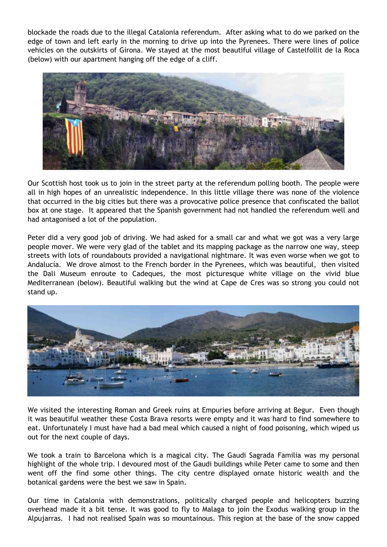blockade the roads due to the illegal Catalonia referendum. After asking what to do we parked on the edge of town and left early in the morning to drive up into the Pyrenees. There were lines of police vehicles on the outskirts of Girona. We stayed at the most beautiful village of Castelfollit de la Roca (below) with our apartment hanging off the edge of a cliff.



Our Scottish host took us to join in the street party at the referendum polling booth. The people were all in high hopes of an unrealistic independence. In this little village there was none of the violence that occurred in the big cities but there was a provocative police presence that confiscated the ballot box at one stage. It appeared that the Spanish government had not handled the referendum well and had antagonised a lot of the population.

Peter did a very good job of driving. We had asked for a small car and what we got was a very large people mover. We were very glad of the tablet and its mapping package as the narrow one way, steep streets with lots of roundabouts provided a navigational nightmare. It was even worse when we got to Andalucía. We drove almost to the French border in the Pyrenees, which was beautiful, then visited the Dali Museum enroute to Cadeques, the most picturesque white village on the vivid blue Mediterranean (below). Beautiful walking but the wind at Cape de Cres was so strong you could not stand up.



We visited the interesting Roman and Greek ruins at Empuries before arriving at Begur. Even though it was beautiful weather these Costa Brava resorts were empty and it was hard to find somewhere to eat. Unfortunately I must have had a bad meal which caused a night of food poisoning, which wiped us out for the next couple of days.

We took a train to Barcelona which is a magical city. The Gaudi Sagrada Familia was my personal highlight of the whole trip. I devoured most of the Gaudi buildings while Peter came to some and then went off the find some other things. The city centre displayed ornate historic wealth and the botanical gardens were the best we saw in Spain.

Our time in Catalonia with demonstrations, politically charged people and helicopters buzzing overhead made it a bit tense. It was good to fly to Malaga to join the Exodus walking group in the Alpujarras. I had not realised Spain was so mountainous. This region at the base of the snow capped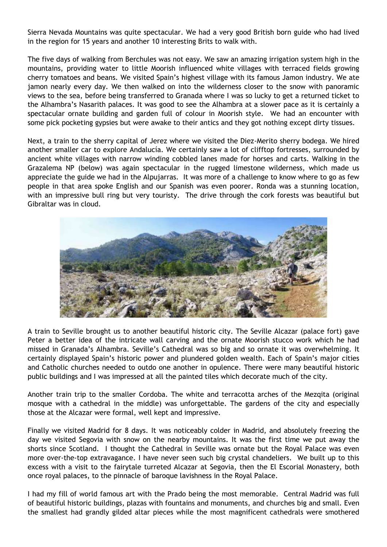Sierra Nevada Mountains was quite spectacular. We had a very good British born guide who had lived in the region for 15 years and another 10 interesting Brits to walk with.

The five days of walking from Berchules was not easy. We saw an amazing irrigation system high in the mountains, providing water to little Moorish influenced white villages with terraced fields growing cherry tomatoes and beans. We visited Spain's highest village with its famous Jamon industry. We ate jamon nearly every day. We then walked on into the wilderness closer to the snow with panoramic views to the sea, before being transferred to Granada where I was so lucky to get a returned ticket to the Alhambra's Nasarith palaces. It was good to see the Alhambra at a slower pace as it is certainly a spectacular ornate building and garden full of colour in Moorish style. We had an encounter with some pick pocketing gypsies but were awake to their antics and they got nothing except dirty tissues.

Next, a train to the sherry capital of Jerez where we visited the Diez-Merito sherry bodega. We hired another smaller car to explore Andalucía. We certainly saw a lot of clifftop fortresses, surrounded by ancient white villages with narrow winding cobbled lanes made for horses and carts. Walking in the Grazalema NP (below) was again spectacular in the rugged limestone wilderness, which made us appreciate the guide we had in the Alpujarras. It was more of a challenge to know where to go as few people in that area spoke English and our Spanish was even poorer. Ronda was a stunning location, with an impressive bull ring but very touristy. The drive through the cork forests was beautiful but Gibraltar was in cloud.



A train to Seville brought us to another beautiful historic city. The Seville Alcazar (palace fort) gave Peter a better idea of the intricate wall carving and the ornate Moorish stucco work which he had missed in Granada's Alhambra. Seville's Cathedral was so big and so ornate it was overwhelming. It certainly displayed Spain's historic power and plundered golden wealth. Each of Spain's major cities and Catholic churches needed to outdo one another in opulence. There were many beautiful historic public buildings and I was impressed at all the painted tiles which decorate much of the city.

Another train trip to the smaller Cordoba. The white and terracotta arches of the Mezqita (original mosque with a cathedral in the middle) was unforgettable. The gardens of the city and especially those at the Alcazar were formal, well kept and impressive.

Finally we visited Madrid for 8 days. It was noticeably colder in Madrid, and absolutely freezing the day we visited Segovia with snow on the nearby mountains. It was the first time we put away the shorts since Scotland. I thought the Cathedral in Seville was ornate but the Royal Palace was even more over-the-top extravagance. I have never seen such big crystal chandeliers. We built up to this excess with a visit to the fairytale turreted Alcazar at Segovia, then the El Escorial Monastery, both once royal palaces, to the pinnacle of baroque lavishness in the Royal Palace.

I had my fill of world famous art with the Prado being the most memorable. Central Madrid was full of beautiful historic buildings, plazas with fountains and monuments, and churches big and small. Even the smallest had grandly gilded altar pieces while the most magnificent cathedrals were smothered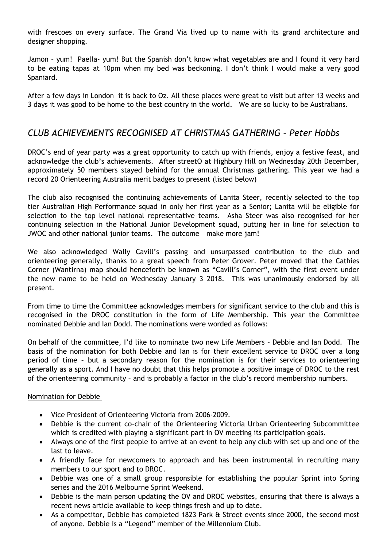with frescoes on every surface. The Grand Via lived up to name with its grand architecture and designer shopping.

Jamon – yum! Paella- yum! But the Spanish don't know what vegetables are and I found it very hard to be eating tapas at 10pm when my bed was beckoning. I don't think I would make a very good Spaniard.

After a few days in London it is back to Oz. All these places were great to visit but after 13 weeks and 3 days it was good to be home to the best country in the world. We are so lucky to be Australians.

## *CLUB ACHIEVEMENTS RECOGNISED AT CHRISTMAS GATHERING – Peter Hobbs*

DROC's end of year party was a great opportunity to catch up with friends, enjoy a festive feast, and acknowledge the club's achievements. After streetO at Highbury Hill on Wednesday 20th December, approximately 50 members stayed behind for the annual Christmas gathering. This year we had a record 20 Orienteering Australia merit badges to present (listed below)

The club also recognised the continuing achievements of Lanita Steer, recently selected to the top tier Australian High Performance squad in only her first year as a Senior; Lanita will be eligible for selection to the top level national representative teams. Asha Steer was also recognised for her continuing selection in the National Junior Development squad, putting her in line for selection to JWOC and other national junior teams. The outcome – make more jam!

We also acknowledged Wally Cavill's passing and unsurpassed contribution to the club and orienteering generally, thanks to a great speech from Peter Grover. Peter moved that the Cathies Corner (Wantirna) map should henceforth be known as "Cavill's Corner", with the first event under the new name to be held on Wednesday January 3 2018. This was unanimously endorsed by all present.

From time to time the Committee acknowledges members for significant service to the club and this is recognised in the DROC constitution in the form of Life Membership. This year the Committee nominated Debbie and Ian Dodd. The nominations were worded as follows:

On behalf of the committee, I'd like to nominate two new Life Members – Debbie and Ian Dodd. The basis of the nomination for both Debbie and Ian is for their excellent service to DROC over a long period of time – but a secondary reason for the nomination is for their services to orienteering generally as a sport. And I have no doubt that this helps promote a positive image of DROC to the rest of the orienteering community – and is probably a factor in the club's record membership numbers.

#### Nomination for Debbie

- Vice President of Orienteering Victoria from 2006-2009.
- Debbie is the current co-chair of the Orienteering Victoria Urban Orienteering Subcommittee which is credited with playing a significant part in OV meeting its participation goals.
- Always one of the first people to arrive at an event to help any club with set up and one of the last to leave.
- A friendly face for newcomers to approach and has been instrumental in recruiting many members to our sport and to DROC.
- Debbie was one of a small group responsible for establishing the popular Sprint into Spring series and the 2016 Melbourne Sprint Weekend.
- Debbie is the main person updating the OV and DROC websites, ensuring that there is always a recent news article available to keep things fresh and up to date.
- As a competitor, Debbie has completed 1823 Park & Street events since 2000, the second most of anyone. Debbie is a "Legend" member of the Millennium Club.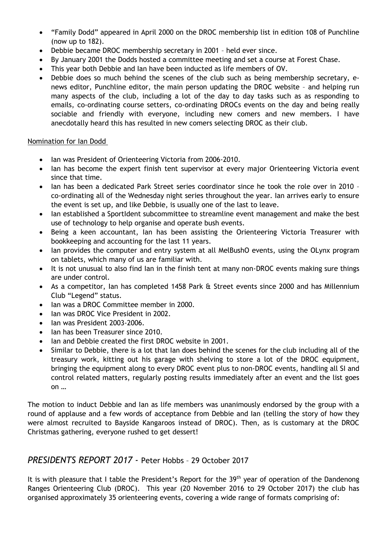- "Family Dodd" appeared in April 2000 on the DROC membership list in edition 108 of Punchline (now up to 182).
- Debbie became DROC membership secretary in 2001 held ever since.
- By January 2001 the Dodds hosted a committee meeting and set a course at Forest Chase.
- This year both Debbie and Ian have been inducted as life members of OV.
- Debbie does so much behind the scenes of the club such as being membership secretary, enews editor, Punchline editor, the main person updating the DROC website – and helping run many aspects of the club, including a lot of the day to day tasks such as as responding to emails, co-ordinating course setters, co-ordinating DROCs events on the day and being really sociable and friendly with everyone, including new comers and new members. I have anecdotally heard this has resulted in new comers selecting DROC as their club.

### Nomination for Ian Dodd

- Ian was President of Orienteering Victoria from 2006-2010.
- Ian has become the expert finish tent supervisor at every major Orienteering Victoria event since that time.
- Ian has been a dedicated Park Street series coordinator since he took the role over in 2010 co-ordinating all of the Wednesday night series throughout the year. Ian arrives early to ensure the event is set up, and like Debbie, is usually one of the last to leave.
- Ian established a SportIdent subcommittee to streamline event management and make the best use of technology to help organise and operate bush events.
- Being a keen accountant, Ian has been assisting the Orienteering Victoria Treasurer with bookkeeping and accounting for the last 11 years.
- Ian provides the computer and entry system at all MelBushO events, using the OLynx program on tablets, which many of us are familiar with.
- It is not unusual to also find Ian in the finish tent at many non-DROC events making sure things are under control.
- As a competitor, Ian has completed 1458 Park & Street events since 2000 and has Millennium Club "Legend" status.
- Ian was a DROC Committee member in 2000.
- Ian was DROC Vice President in 2002.
- Ian was President 2003-2006.
- Ian has been Treasurer since 2010.
- Ian and Debbie created the first DROC website in 2001.
- Similar to Debbie, there is a lot that Ian does behind the scenes for the club including all of the treasury work, kitting out his garage with shelving to store a lot of the DROC equipment, bringing the equipment along to every DROC event plus to non-DROC events, handling all SI and control related matters, regularly posting results immediately after an event and the list goes on …

The motion to induct Debbie and Ian as life members was unanimously endorsed by the group with a round of applause and a few words of acceptance from Debbie and Ian (telling the story of how they were almost recruited to Bayside Kangaroos instead of DROC). Then, as is customary at the DROC Christmas gathering, everyone rushed to get dessert!

### *PRESIDENTS REPORT 2017 -* Peter Hobbs – 29 October 2017

It is with pleasure that I table the President's Report for the 39<sup>th</sup> year of operation of the Dandenong Ranges Orienteering Club (DROC). This year (20 November 2016 to 29 October 2017) the club has organised approximately 35 orienteering events, covering a wide range of formats comprising of: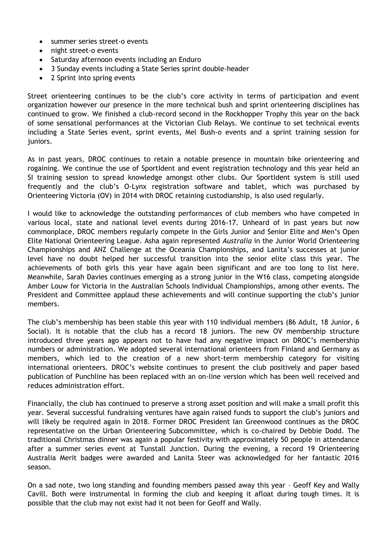- summer series street-o events
- night street-o events
- Saturday afternoon events including an Enduro
- 3 Sunday events including a State Series sprint double-header
- 2 Sprint into spring events

Street orienteering continues to be the club's core activity in terms of participation and event organization however our presence in the more technical bush and sprint orienteering disciplines has continued to grow. We finished a club-record second in the Rockhopper Trophy this year on the back of some sensational performances at the Victorian Club Relays. We continue to set technical events including a State Series event, sprint events, Mel Bush-o events and a sprint training session for juniors.

As in past years, DROC continues to retain a notable presence in mountain bike orienteering and rogaining. We continue the use of SportIdent and event registration technology and this year held an SI training session to spread knowledge amongst other clubs. Our SportIdent system is still used frequently and the club's O-Lynx registration software and tablet, which was purchased by Orienteering Victoria (OV) in 2014 with DROC retaining custodianship, is also used regularly.

I would like to acknowledge the outstanding performances of club members who have competed in various local, state and national level events during 2016-17. Unheard of in past years but now commonplace, DROC members regularly compete in the Girls Junior and Senior Elite and Men's Open Elite National Orienteering League. Asha again represented *Australia* in the Junior World Orienteering Championships and ANZ Challenge at the Oceania Championships, and Lanita's successes at junior level have no doubt helped her successful transition into the senior elite class this year. The achievements of both girls this year have again been significant and are too long to list here. Meanwhile, Sarah Davies continues emerging as a strong junior in the W16 class, competing alongside Amber Louw for Victoria in the Australian Schools Individual Championships, among other events. The President and Committee applaud these achievements and will continue supporting the club's junior members.

The club's membership has been stable this year with 110 individual members (86 Adult, 18 Junior, 6 Social). It is notable that the club has a record 18 juniors. The new OV membership structure introduced three years ago appears not to have had any negative impact on DROC's membership numbers or administration. We adopted several international orienteers from Finland and Germany as members, which led to the creation of a new short-term membership category for visiting international orienteers. DROC's website continues to present the club positively and paper based publication of Punchline has been replaced with an on-line version which has been well received and reduces administration effort.

Financially, the club has continued to preserve a strong asset position and will make a small profit this year. Several successful fundraising ventures have again raised funds to support the club's juniors and will likely be required again in 2018. Former DROC President Ian Greenwood continues as the DROC representative on the Urban Orienteering Subcommittee, which is co-chaired by Debbie Dodd. The traditional Christmas dinner was again a popular festivity with approximately 50 people in attendance after a summer series event at Tunstall Junction. During the evening, a record 19 Orienteering Australia Merit badges were awarded and Lanita Steer was acknowledged for her fantastic 2016 season.

On a sad note, two long standing and founding members passed away this year – Geoff Key and Wally Cavill. Both were instrumental in forming the club and keeping it afloat during tough times. It is possible that the club may not exist had it not been for Geoff and Wally.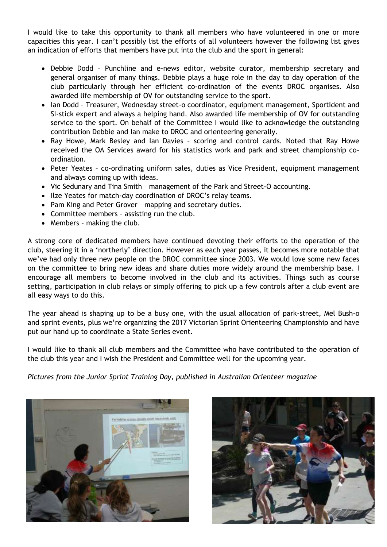I would like to take this opportunity to thank all members who have volunteered in one or more capacities this year. I can't possibly list the efforts of all volunteers however the following list gives an indication of efforts that members have put into the club and the sport in general:

- Debbie Dodd Punchline and e-news editor, website curator, membership secretary and general organiser of many things. Debbie plays a huge role in the day to day operation of the club particularly through her efficient co-ordination of the events DROC organises. Also awarded life membership of OV for outstanding service to the sport.
- Ian Dodd Treasurer, Wednesday street-o coordinator, equipment management, SportIdent and SI-stick expert and always a helping hand. Also awarded life membership of OV for outstanding service to the sport. On behalf of the Committee I would like to acknowledge the outstanding contribution Debbie and Ian make to DROC and orienteering generally.
- Ray Howe, Mark Besley and Ian Davies scoring and control cards. Noted that Ray Howe received the OA Services award for his statistics work and park and street championship coordination.
- Peter Yeates co-ordinating uniform sales, duties as Vice President, equipment management and always coming up with ideas.
- Vic Sedunary and Tina Smith management of the Park and Street-O accounting.
- Ilze Yeates for match-day coordination of DROC's relay teams.
- Pam King and Peter Grover mapping and secretary duties.
- Committee members assisting run the club.
- Members making the club.

A strong core of dedicated members have continued devoting their efforts to the operation of the club, steering it in a 'northerly' direction. However as each year passes, it becomes more notable that we've had only three new people on the DROC committee since 2003. We would love some new faces on the committee to bring new ideas and share duties more widely around the membership base. I encourage all members to become involved in the club and its activities. Things such as course setting, participation in club relays or simply offering to pick up a few controls after a club event are all easy ways to do this.

The year ahead is shaping up to be a busy one, with the usual allocation of park-street, Mel Bush-o and sprint events, plus we're organizing the 2017 Victorian Sprint Orienteering Championship and have put our hand up to coordinate a State Series event.

I would like to thank all club members and the Committee who have contributed to the operation of the club this year and I wish the President and Committee well for the upcoming year.

*Pictures from the Junior Sprint Training Day, published in Australian Orienteer magazine*